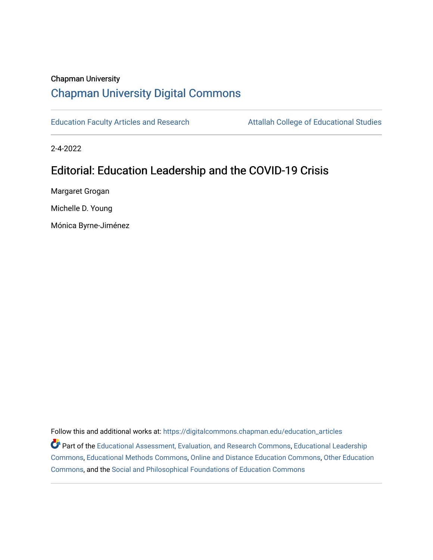## Chapman University

# [Chapman University Digital Commons](https://digitalcommons.chapman.edu/)

[Education Faculty Articles and Research](https://digitalcommons.chapman.edu/education_articles) **Attallah College of Educational Studies** 

2-4-2022

# Editorial: Education Leadership and the COVID-19 Crisis

Margaret Grogan

Michelle D. Young

Mónica Byrne-Jiménez

Follow this and additional works at: [https://digitalcommons.chapman.edu/education\\_articles](https://digitalcommons.chapman.edu/education_articles?utm_source=digitalcommons.chapman.edu%2Feducation_articles%2F328&utm_medium=PDF&utm_campaign=PDFCoverPages)

Part of the [Educational Assessment, Evaluation, and Research Commons](http://network.bepress.com/hgg/discipline/796?utm_source=digitalcommons.chapman.edu%2Feducation_articles%2F328&utm_medium=PDF&utm_campaign=PDFCoverPages), [Educational Leadership](http://network.bepress.com/hgg/discipline/1230?utm_source=digitalcommons.chapman.edu%2Feducation_articles%2F328&utm_medium=PDF&utm_campaign=PDFCoverPages) [Commons](http://network.bepress.com/hgg/discipline/1230?utm_source=digitalcommons.chapman.edu%2Feducation_articles%2F328&utm_medium=PDF&utm_campaign=PDFCoverPages), [Educational Methods Commons](http://network.bepress.com/hgg/discipline/1227?utm_source=digitalcommons.chapman.edu%2Feducation_articles%2F328&utm_medium=PDF&utm_campaign=PDFCoverPages), [Online and Distance Education Commons](http://network.bepress.com/hgg/discipline/1296?utm_source=digitalcommons.chapman.edu%2Feducation_articles%2F328&utm_medium=PDF&utm_campaign=PDFCoverPages), [Other Education](http://network.bepress.com/hgg/discipline/811?utm_source=digitalcommons.chapman.edu%2Feducation_articles%2F328&utm_medium=PDF&utm_campaign=PDFCoverPages)  [Commons](http://network.bepress.com/hgg/discipline/811?utm_source=digitalcommons.chapman.edu%2Feducation_articles%2F328&utm_medium=PDF&utm_campaign=PDFCoverPages), and the [Social and Philosophical Foundations of Education Commons](http://network.bepress.com/hgg/discipline/799?utm_source=digitalcommons.chapman.edu%2Feducation_articles%2F328&utm_medium=PDF&utm_campaign=PDFCoverPages)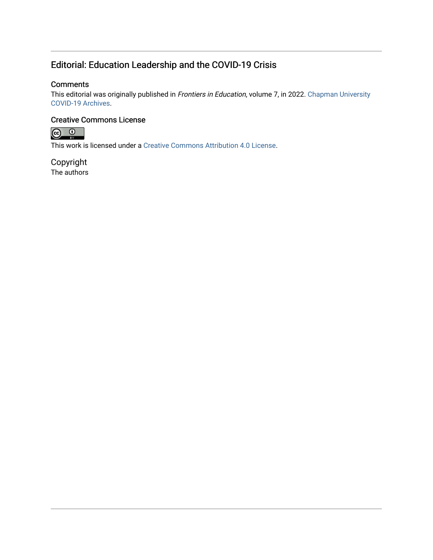## Editorial: Education Leadership and the COVID-19 Crisis

### **Comments**

This editorial was originally published in Frontiers in Education, volume 7, in 2022. Chapman University [COVID-19 Archives.](https://doi.org/10.3389/feduc.202%3C/p%3E%20%3Cp%3E%3Cb%3EThis%20scholarship%20is%20part%20of%20the%20%3Ca%20href=)

## Creative Commons License



This work is licensed under a [Creative Commons Attribution 4.0 License](https://creativecommons.org/licenses/by/4.0/).

Copyright The authors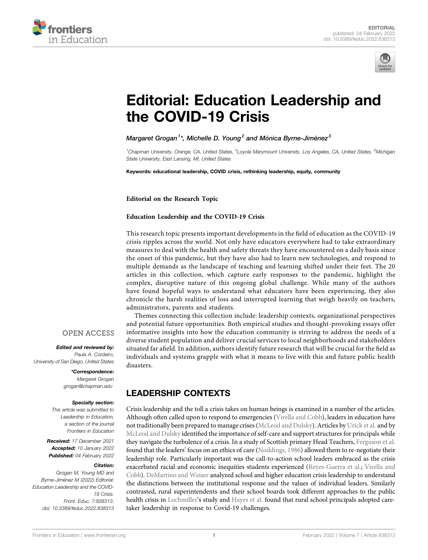



# [Editorial: Education Leadership and](https://www.frontiersin.org/articles/10.3389/feduc.2022.838313/full) [the COVID-19 Crisis](https://www.frontiersin.org/articles/10.3389/feduc.2022.838313/full)

Margaret Grogan $^1{}^{\star}$ , Michelle D. Young $^2$  and Mónica Byrne-Jiménez $^3$ 

<sup>1</sup>Chapman University, Orange, CA, United States, <sup>2</sup>Loyola Marymount University, Los Angeles, CA, United States, <sup>3</sup>Michigan State University, East Lansing, MI, United States

Keywords: educational leadership, COVID crisis, rethinking leadership, equity, community

Editorial on the Research Topic

#### [Education Leadership and the COVID-19 Crisis](https://www.frontiersin.org/researchtopic/13934)

This research topic presents important developments in the field of education as the COVID-19 crisis ripples across the world. Not only have educators everywhere had to take extraordinary measures to deal with the health and safety threats they have encountered on a daily basis since the onset of this pandemic, but they have also had to learn new technologies, and respond to multiple demands as the landscape of teaching and learning shifted under their feet. The 20 articles in this collection, which capture early responses to the pandemic, highlight the complex, disruptive nature of this ongoing global challenge. While many of the authors have found hopeful ways to understand what educators have been experiencing, they also chronicle the harsh realities of loss and interrupted learning that weigh heavily on teachers, administrators, parents and students.

Themes connecting this collection include: leadership contexts, organizational perspectives and potential future opportunities. Both empirical studies and thought-provoking essays offer informative insights into how the education community is striving to address the needs of a diverse student population and deliver crucial services to local neighborhoods and stakeholders situated far afield. In addition, authors identify future research that will be crucial for the field as individuals and systems grapple with what it means to live with this and future public health disasters.

## LEADERSHIP CONTEXTS

Crisis leadership and the toll a crisis takes on human beings is examined in a number of the articles. Although often called upon to respond to emergencies ([Virella and Cobb](https://www.frontiersin.org/articles/10.3389/feduc.2021.618051/full)), leaders in education have not traditionally been prepared to manage crises [\(McLeod and Dulsky](https://www.frontiersin.org/articles/10.3389/feduc.2021.637075/full)). Articles by [Urick et al.](https://www.frontiersin.org/articles/10.3389/feduc.2021.642861/full) and by [McLeod and Dulsky](https://www.frontiersin.org/articles/10.3389/feduc.2021.637075/full) identified the importance of self-care and support structures for principals while they navigate the turbulence of a crisis. In a study of Scottish primary Head Teachers, [Ferguson et al.](https://www.frontiersin.org/articles/10.3389/feduc.2021.617869/full) found that the leaders' focus on an ethics of care [\(Noddings, 1986](#page-4-0)) allowed them to re-negotiate their leadership role. Particularly important was the call-to-action school leaders embraced as the crisis exacerbated racial and economic inequities students experienced [\(Reyes-Guerra et al.](https://www.frontiersin.org/articles/10.3389/feduc.2021.617875/full); [Virella and](https://www.frontiersin.org/articles/10.3389/feduc.2021.618051/full) [Cobb](https://www.frontiersin.org/articles/10.3389/feduc.2021.618051/full)). [DeMartino and Weiser](https://www.frontiersin.org/articles/10.3389/feduc.2021.617857/full) analyzed school and higher education crisis leadership to understand the distinctions between the institutional response and the values of individual leaders. Similarly contrasted, rural superintendents and their school boards took different approaches to the public health crisis in [Lochmiller](https://www.frontiersin.org/articles/10.3389/feduc.2021.617058/full)'s study and [Hayes et al.](https://www.frontiersin.org/articles/10.3389/feduc.2020.618067/full) found that rural school principals adopted caretaker leadership in response to Covid-19 challenges.

#### **OPEN ACCESS**

Edited and reviewed by: Paula A. Cordeiro, University of San Diego, United States

> \*Correspondence: Margaret Grogan [grogan@chapman.edu](mailto:grogan@chapman.edu
> )

#### Specialty section:

This article was submitted to Leadership in Education, a section of the journal Frontiers in Education

Received: 17 December 2021 Accepted: 10 January 2022 Published: 04 February 2022

#### Citation:

Grogan M, Young MD and Byrne-Jiménez M (2022) Editorial: Education Leadership and the COVID-19 Crisis. Front. Educ. 7:838313. doi: [10.3389/feduc.2022.838313](https://doi.org/10.3389/feduc.2022.838313)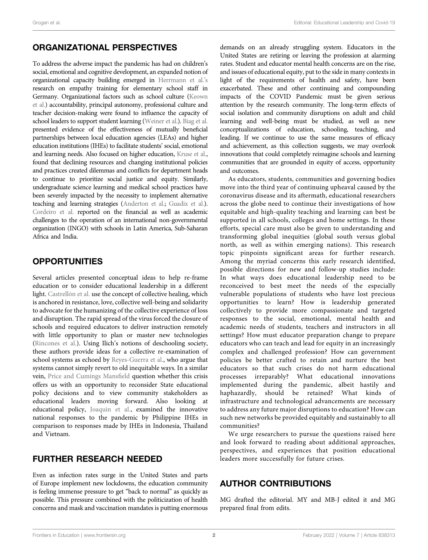## ORGANIZATIONAL PERSPECTIVES

To address the adverse impact the pandemic has had on children's social, emotional and cognitive development, an expanded notion of organizational capacity building emerged in [Herrmann et al.](https://www.frontiersin.org/articles/10.3389/feduc.2021.635180/full)'s research on empathy training for elementary school staff in Germany. Organizational factors such as school culture [\(Keown](https://www.frontiersin.org/articles/10.3389/feduc.2021.595847/full) [et al.\)](https://www.frontiersin.org/articles/10.3389/feduc.2021.595847/full) accountability, principal autonomy, professional culture and teacher decision-making were found to influence the capacity of school leaders to support student learning [\(Weiner et al.](https://www.frontiersin.org/articles/10.3389/feduc.2020.618483/full)). [Biag et al.](https://www.frontiersin.org/articles/10.3389/feduc.2020.621361/full) presented evidence of the effectiveness of mutually beneficial partnerships between local education agencies (LEAs) and higher education institutions (IHEs) to facilitate students' social, emotional and learning needs. Also focused on higher education, [Kruse et al.](https://www.frontiersin.org/articles/10.3389/feduc.2020.614641/full), found that declining resources and changing institutional policies and practices created dilemmas and conflicts for department heads to continue to prioritize social justice and equity. Similarly, undergraduate science learning and medical school practices have been severely impacted by the necessity to implement alternative teaching and learning strategies [\(Anderton et al.;](https://www.frontiersin.org/articles/10.3389/feduc.2020.609703/full) [Guadix et al.\)](https://www.frontiersin.org/articles/10.3389/feduc.2020.567421/full). [Cordeiro et al.](https://www.frontiersin.org/articles/10.3389/feduc.2021.618323/full) reported on the financial as well as academic challenges to the operation of an international non-governmental organization (INGO) with schools in Latin America, Sub-Saharan Africa and India.

## **OPPORTUNITIES**

Several articles presented conceptual ideas to help re-frame education or to consider educational leadership in a different light. [Castrellón et al.](https://www.frontiersin.org/articles/10.3389/feduc.2021.636993/full) use the concept of collective healing, which is anchored in resistance, love, collective well-being and solidarity to advocate for the humanizing of the collective experience of loss and disruption. The rapid spread of the virus forced the closure of schools and required educators to deliver instruction remotely with little opportunity to plan or master new technologies ([Rincones et al.](https://www.frontiersin.org/articles/10.3389/feduc.2020.618075/full)). Using Ilich's notions of deschooling society, these authors provide ideas for a collective re-examination of school systems as echoed by [Reyes-Guerra et al.](https://www.frontiersin.org/articles/10.3389/feduc.2021.617875/full), who argue that systems cannot simply revert to old inequitable ways. In a similar vein, [Price and Cumings Mans](https://www.frontiersin.org/articles/10.3389/feduc.2020.615101/full)field question whether this crisis offers us with an opportunity to reconsider State educational policy decisions and to view community stakeholders as educational leaders moving forward. Also looking at educational policy, [Joaquin et al.,](https://www.frontiersin.org/articles/10.3389/feduc.2020.576371/full) examined the innovative national responses to the pandemic by Philippine IHEs in comparison to responses made by IHEs in Indonesia, Thailand and Vietnam.

## FURTHER RESEARCH NEEDED

Even as infection rates surge in the United States and parts of Europe implement new lockdowns, the education community is feeling immense pressure to get "back to normal" as quickly as possible. This pressure combined with the politicization of health concerns and mask and vaccination mandates is putting enormous demands on an already struggling system. Educators in the United States are retiring or leaving the profession at alarming rates. Student and educator mental health concerns are on the rise, and issues of educational equity, put to the side in many contexts in light of the requirements of health and safety, have been exacerbated. These and other continuing and compounding impacts of the COVID Pandemic must be given serious attention by the research community. The long-term effects of social isolation and community disruptions on adult and child learning and well-being must be studied, as well as new conceptualizations of education, schooling, teaching, and leading. If we continue to use the same measures of efficacy and achievement, as this collection suggests, we may overlook innovations that could completely reimagine schools and learning communities that are grounded in equity of access, opportunity and outcomes.

As educators, students, communities and governing bodies move into the third year of continuing upheaval caused by the coronavirus disease and its aftermath, educational researchers across the globe need to continue their investigations of how equitable and high-quality teaching and learning can best be supported in all schools, colleges and home settings. In these efforts, special care must also be given to understanding and transforming global inequities (global south versus global north, as well as within emerging nations). This research topic pinpoints significant areas for further research. Among the myriad concerns this early research identified, possible directions for new and follow-up studies include: In what ways does educational leadership need to be reconceived to best meet the needs of the especially vulnerable populations of students who have lost precious opportunities to learn? How is leadership generated collectively to provide more compassionate and targeted responses to the social, emotional, mental health and academic needs of students, teachers and instructors in all settings? How must educator preparation change to prepare educators who can teach and lead for equity in an increasingly complex and challenged profession? How can government policies be better crafted to retain and nurture the best educators so that such crises do not harm educational processes irreparably? What educational innovations implemented during the pandemic, albeit hastily and haphazardly, should be retained? What kinds of infrastructure and technological advancements are necessary to address any future major disruptions to education? How can such new networks be provided equitably and sustainably to all communities?

We urge researchers to pursue the questions raised here and look forward to reading about additional approaches, perspectives, and experiences that position educational leaders more successfully for future crises.

## AUTHOR CONTRIBUTIONS

MG drafted the editorial. MY and MB-J edited it and MG prepared final from edits.